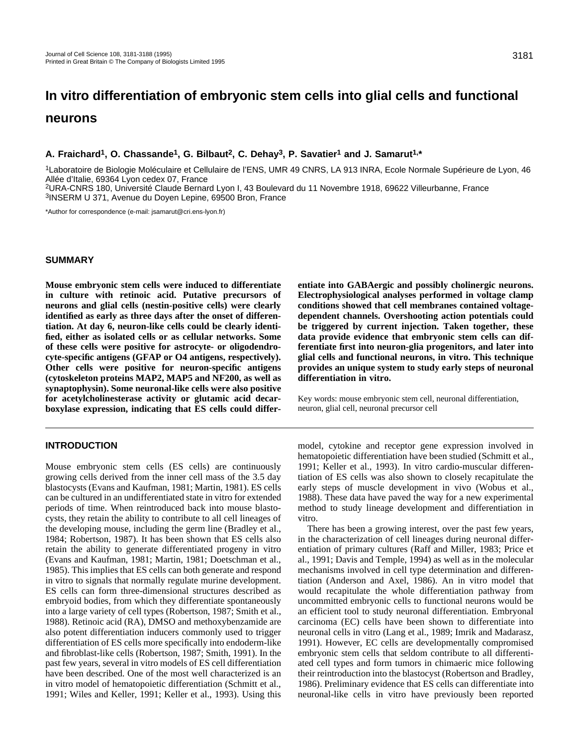# **In vitro differentiation of embryonic stem cells into glial cells and functional neurons**

## **A. Fraichard1, O. Chassande1, G. Bilbaut2, C. Dehay3, P. Savatier1 and J. Samarut1,\***

1Laboratoire de Biologie Moléculaire et Cellulaire de l'ENS, UMR 49 CNRS, LA 913 INRA, Ecole Normale Supérieure de Lyon, 46 Allée d'Italie, 69364 Lyon cedex 07, France

2URA-CNRS 180, Université Claude Bernard Lyon I, 43 Boulevard du 11 Novembre 1918, 69622 Villeurbanne, France 3INSERM U 371, Avenue du Doyen Lepine, 69500 Bron, France

\*Author for correspondence (e-mail: jsamarut@cri.ens-lyon.fr)

#### **SUMMARY**

**Mouse embryonic stem cells were induced to differentiate in culture with retinoic acid. Putative precursors of neurons and glial cells (nestin-positive cells) were clearly identified as early as three days after the onset of differentiation. At day 6, neuron-like cells could be clearly identified, either as isolated cells or as cellular networks. Some of these cells were positive for astrocyte- or oligodendrocyte-specific antigens (GFAP or O4 antigens, respectively). Other cells were positive for neuron-specific antigens (cytoskeleton proteins MAP2, MAP5 and NF200, as well as synaptophysin). Some neuronal-like cells were also positive for acetylcholinesterase activity or glutamic acid decarboxylase expression, indicating that ES cells could differ-**

## **INTRODUCTION**

Mouse embryonic stem cells (ES cells) are continuously growing cells derived from the inner cell mass of the 3.5 day blastocysts (Evans and Kaufman, 1981; Martin, 1981). ES cells can be cultured in an undifferentiated state in vitro for extended periods of time. When reintroduced back into mouse blastocysts, they retain the ability to contribute to all cell lineages of the developing mouse, including the germ line (Bradley et al., 1984; Robertson, 1987). It has been shown that ES cells also retain the ability to generate differentiated progeny in vitro (Evans and Kaufman, 1981; Martin, 1981; Doetschman et al., 1985). This implies that ES cells can both generate and respond in vitro to signals that normally regulate murine development. ES cells can form three-dimensional structures described as embryoid bodies, from which they differentiate spontaneously into a large variety of cell types (Robertson, 1987; Smith et al., 1988). Retinoic acid (RA), DMSO and methoxybenzamide are also potent differentiation inducers commonly used to trigger differentiation of ES cells more specifically into endoderm-like and fibroblast-like cells (Robertson, 1987; Smith, 1991). In the past few years, several in vitro models of ES cell differentiation have been described. One of the most well characterized is an in vitro model of hematopoietic differentiation (Schmitt et al., 1991; Wiles and Keller, 1991; Keller et al., 1993). Using this **entiate into GABAergic and possibly cholinergic neurons. Electrophysiological analyses performed in voltage clamp conditions showed that cell membranes contained voltagedependent channels. Overshooting action potentials could be triggered by current injection. Taken together, these data provide evidence that embryonic stem cells can differentiate first into neuron-glia progenitors, and later into glial cells and functional neurons, in vitro. This technique provides an unique system to study early steps of neuronal differentiation in vitro.**

Key words: mouse embryonic stem cell, neuronal differentiation, neuron, glial cell, neuronal precursor cell

model, cytokine and receptor gene expression involved in hematopoietic differentiation have been studied (Schmitt et al., 1991; Keller et al., 1993). In vitro cardio-muscular differentiation of ES cells was also shown to closely recapitulate the early steps of muscle development in vivo (Wobus et al., 1988). These data have paved the way for a new experimental method to study lineage development and differentiation in vitro.

There has been a growing interest, over the past few years, in the characterization of cell lineages during neuronal differentiation of primary cultures (Raff and Miller, 1983; Price et al., 1991; Davis and Temple, 1994) as well as in the molecular mechanisms involved in cell type determination and differentiation (Anderson and Axel, 1986). An in vitro model that would recapitulate the whole differentiation pathway from uncommitted embryonic cells to functional neurons would be an efficient tool to study neuronal differentiation. Embryonal carcinoma (EC) cells have been shown to differentiate into neuronal cells in vitro (Lang et al., 1989; Imrik and Madarasz, 1991). However, EC cells are developmentally compromised embryonic stem cells that seldom contribute to all differentiated cell types and form tumors in chimaeric mice following their reintroduction into the blastocyst (Robertson and Bradley, 1986). Preliminary evidence that ES cells can differentiate into neuronal-like cells in vitro have previously been reported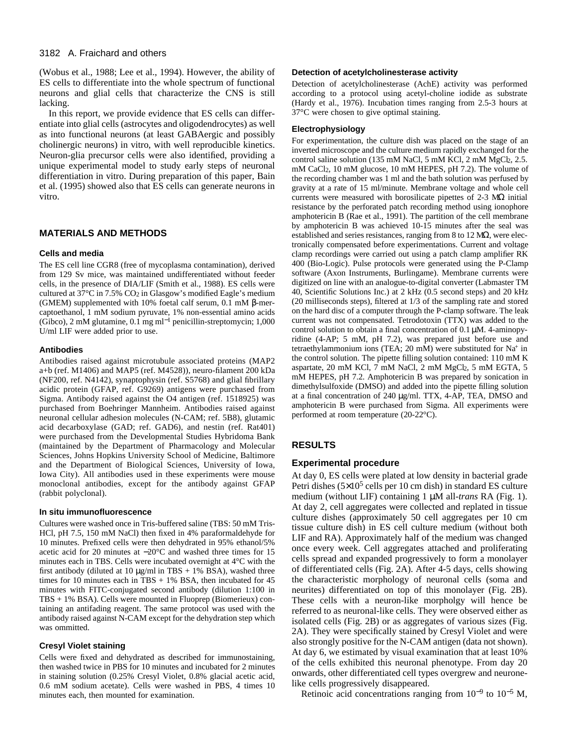#### 3182 A. Fraichard and others

(Wobus et al., 1988; Lee et al., 1994). However, the ability of ES cells to differentiate into the whole spectrum of functional neurons and glial cells that characterize the CNS is still lacking.

In this report, we provide evidence that ES cells can differentiate into glial cells (astrocytes and oligodendrocytes) as well as into functional neurons (at least GABAergic and possibly cholinergic neurons) in vitro, with well reproducible kinetics. Neuron-glia precursor cells were also identified, providing a unique experimental model to study early steps of neuronal differentiation in vitro. During preparation of this paper, Bain et al. (1995) showed also that ES cells can generate neurons in vitro.

## **MATERIALS AND METHODS**

#### **Cells and media**

The ES cell line CGR8 (free of mycoplasma contamination), derived from 129 Sv mice, was maintained undifferentiated without feeder cells, in the presence of DIA/LIF (Smith et al., 1988). ES cells were cultured at  $37^{\circ}$ C in  $7.5\%$  CO<sub>2</sub> in Glasgow's modified Eagle's medium (GMEM) supplemented with 10% foetal calf serum, 0.1 mM β-mercaptoethanol, 1 mM sodium pyruvate, 1% non-essential amino acids (Gibco), 2 mM glutamine, 0.1 mg ml−<sup>1</sup> penicillin-streptomycin; 1,000 U/ml LIF were added prior to use.

#### **Antibodies**

Antibodies raised against microtubule associated proteins (MAP2 a+b (ref. M1406) and MAP5 (ref. M4528)), neuro-filament 200 kDa (NF200, ref. N4142), synaptophysin (ref. S5768) and glial fibrillary acidic protein (GFAP, ref. G9269) antigens were purchased from Sigma. Antibody raised against the O4 antigen (ref. 1518925) was purchased from Boehringer Mannheim. Antibodies raised against neuronal cellular adhesion molecules (N-CAM; ref. 5B8), glutamic acid decarboxylase (GAD; ref. GAD6), and nestin (ref. Rat401) were purchased from the Developmental Studies Hybridoma Bank (maintained by the Department of Pharmacology and Molecular Sciences, Johns Hopkins University School of Medicine, Baltimore and the Department of Biological Sciences, University of Iowa, Iowa City). All antibodies used in these experiments were mouse monoclonal antibodies, except for the antibody against GFAP (rabbit polyclonal).

#### **In situ immunofluorescence**

Cultures were washed once in Tris-buffered saline (TBS: 50 mM Tris-HCl, pH 7.5, 150 mM NaCl) then fixed in 4% paraformaldehyde for 10 minutes. Prefixed cells were then dehydrated in 95% ethanol/5% acetic acid for 20 minutes at −20°C and washed three times for 15 minutes each in TBS. Cells were incubated overnight at 4°C with the first antibody (diluted at 10  $\mu$ g/ml in TBS + 1% BSA), washed three times for 10 minutes each in TBS  $+ 1\%$  BSA, then incubated for 45 minutes with FITC-conjugated second antibody (dilution 1:100 in TBS + 1% BSA). Cells were mounted in Fluoprep (Biomerieux) containing an antifading reagent. The same protocol was used with the antibody raised against N-CAM except for the dehydration step which was ommitted.

#### **Cresyl Violet staining**

Cells were fixed and dehydrated as described for immunostaining, then washed twice in PBS for 10 minutes and incubated for 2 minutes in staining solution (0.25% Cresyl Violet, 0.8% glacial acetic acid, 0.6 mM sodium acetate). Cells were washed in PBS, 4 times 10 minutes each, then mounted for examination.

#### **Detection of acetylcholinesterase activity**

Detection of acetylcholinesterase (AchE) activity was performed according to a protocol using acetyl-choline iodide as substrate (Hardy et al., 1976). Incubation times ranging from 2.5-3 hours at 37°C were chosen to give optimal staining.

#### **Electrophysiology**

For experimentation, the culture dish was placed on the stage of an inverted microscope and the culture medium rapidly exchanged for the control saline solution (135 mM NaCl, 5 mM KCl, 2 mM MgCl, 2.5. mM CaCl2, 10 mM glucose, 10 mM HEPES, pH 7.2). The volume of the recording chamber was 1 ml and the bath solution was perfused by gravity at a rate of 15 ml/minute. Membrane voltage and whole cell currents were measured with borosilicate pipettes of 2-3 MΩ initial resistance by the perforated patch recording method using ionophore amphotericin B (Rae et al., 1991). The partition of the cell membrane by amphotericin B was achieved 10-15 minutes after the seal was established and series resistances, ranging from 8 to 12 MΩ, were electronically compensated before experimentations. Current and voltage clamp recordings were carried out using a patch clamp amplifier RK 400 (Bio-Logic). Pulse protocols were generated using the P-Clamp software (Axon Instruments, Burlingame). Membrane currents were digitized on line with an analogue-to-digital converter (Labmaster TM 40, Scientific Solutions Inc.) at 2 kHz (0.5 second steps) and 20 kHz (20 milliseconds steps), filtered at 1/3 of the sampling rate and stored on the hard disc of a computer through the P-clamp software. The leak current was not compensated. Tetrodotoxin (TTX) was added to the control solution to obtain a final concentration of 0.1 µM. 4-aminopyridine (4-AP; 5 mM, pH 7.2), was prepared just before use and tetraethylammonium ions (TEA; 20 mM) were substituted for Na+ in the control solution. The pipette filling solution contained: 110 mM K aspartate, 20 mM KCl, 7 mM NaCl, 2 mM MgCl<sub>2</sub>, 5 mM EGTA, 5 mM HEPES, pH 7.2. Amphotericin B was prepared by sonication in dimethylsulfoxide (DMSO) and added into the pipette filling solution at a final concentration of 240 µg/ml. TTX, 4-AP, TEA, DMSO and amphotericin B were purchased from Sigma. All experiments were performed at room temperature (20-22°C).

## **RESULTS**

### **Experimental procedure**

At day 0, ES cells were plated at low density in bacterial grade Petri dishes  $(5\times10^5 \text{ cells per } 10 \text{ cm dish})$  in standard ES culture medium (without LIF) containing 1 µM all-*trans* RA (Fig. 1). At day 2, cell aggregates were collected and replated in tissue culture dishes (approximately 50 cell aggregates per 10 cm tissue culture dish) in ES cell culture medium (without both LIF and RA). Approximately half of the medium was changed once every week. Cell aggregates attached and proliferating cells spread and expanded progressively to form a monolayer of differentiated cells (Fig. 2A). After 4-5 days, cells showing the characteristic morphology of neuronal cells (soma and neurites) differentiated on top of this monolayer (Fig. 2B). These cells with a neuron-like morpholgy will hence be referred to as neuronal-like cells. They were observed either as isolated cells (Fig. 2B) or as aggregates of various sizes (Fig. 2A). They were specifically stained by Cresyl Violet and were also strongly positive for the N-CAM antigen (data not shown). At day 6, we estimated by visual examination that at least 10% of the cells exhibited this neuronal phenotype. From day 20 onwards, other differentiated cell types overgrew and neuronelike cells progressively disappeared.

Retinoic acid concentrations ranging from 10−<sup>9</sup> to 10−<sup>5</sup> M,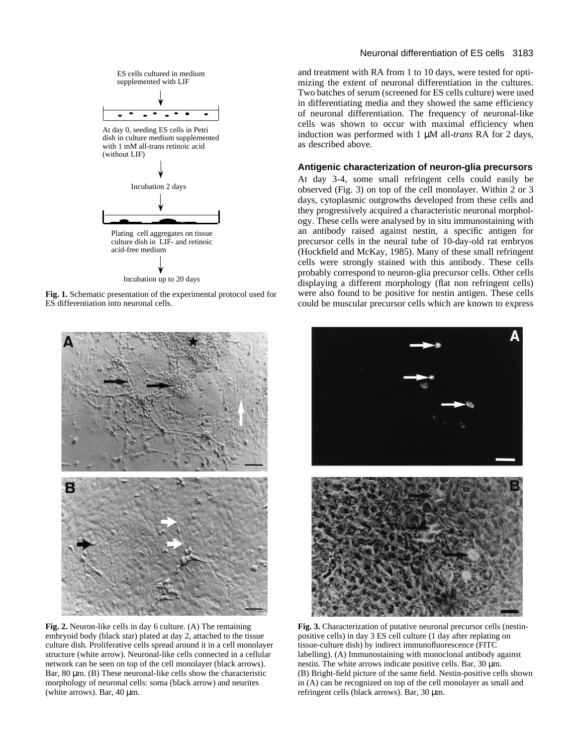

**Fig. 1.** Schematic presentation of the experimental protocol used for ES differentiation into neuronal cells.



**Fig. 2.** Neuron-like cells in day 6 culture. (A) The remaining embryoid body (black star) plated at day 2, attached to the tissue culture dish. Proliferative cells spread around it in a cell monolayer structure (white arrow). Neuronal-like cells connected in a cellular network can be seen on top of the cell monolayer (black arrows). Bar, 80 µm. (B) These neuronal-like cells show the characteristic morphology of neuronal cells: soma (black arrow) and neurites (white arrows). Bar, 40 µm.

### Neuronal differentiation of ES cells 3183

and treatment with RA from 1 to 10 days, were tested for optimizing the extent of neuronal differentiation in the cultures. Two batches of serum (screened for ES cells culture) were used in differentiating media and they showed the same efficiency of neuronal differentiation. The frequency of neuronal-like cells was shown to occur with maximal efficiency when induction was performed with 1 µM all-*trans* RA for 2 days, as described above.

### **Antigenic characterization of neuron-glia precursors**

At day 3-4, some small refringent cells could easily be observed (Fig. 3) on top of the cell monolayer. Within 2 or 3 days, cytoplasmic outgrowths developed from these cells and they progressively acquired a characteristic neuronal morphology. These cells were analysed by in situ immunostaining with an antibody raised against nestin, a specific antigen for precursor cells in the neural tube of 10-day-old rat embryos (Hockfield and McKay, 1985). Many of these small refringent cells were strongly stained with this antibody. These cells probably correspond to neuron-glia precursor cells. Other cells displaying a different morphology (flat non refringent cells) were also found to be positive for nestin antigen. These cells could be muscular precursor cells which are known to express



**Fig. 3.** Characterization of putative neuronal precursor cells (nestinpositive cells) in day 3 ES cell culture (1 day after replating on tissue-culture dish) by indirect immunofluorescence (FITC labelling). (A) Immunostaining with monoclonal antibody against nestin. The white arrows indicate positive cells. Bar, 30 µm. (B) Bright-field picture of the same field. Nestin-positive cells shown in (A) can be recognized on top of the cell monolayer as small and refringent cells (black arrows). Bar, 30 µm.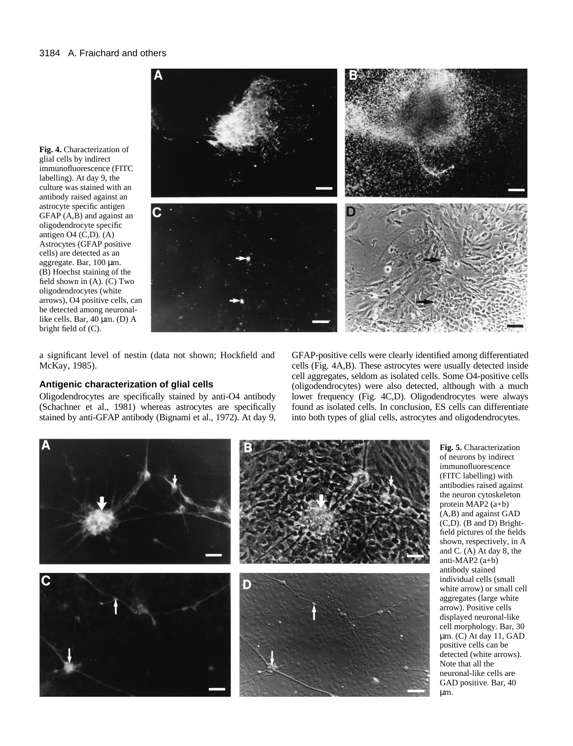**Fig. 4.** Characterization of glial cells by indirect immunofluorescence (FITC labelling). At day 9, the culture was stained with an antibody raised against an astrocyte specific antigen GFAP (A,B) and against an oligodendrocyte specific antigen O4 (C,D). (A) Astrocytes (GFAP positive cells) are detected as an aggregate. Bar, 100 µm. (B) Hoechst staining of the field shown in (A). (C) Two oligodendrocytes (white arrows), O4 positive cells, can be detected among neuronallike cells. Bar, 40 µm. (D) A bright field of (C).



a significant level of nestin (data not shown; Hockfield and McKay, 1985).

## **Antigenic characterization of glial cells**

Oligodendrocytes are specifically stained by anti-O4 antibody (Schachner et al., 1981) whereas astrocytes are specifically stained by anti-GFAP antibody (Bignami et al., 1972). At day 9, GFAP-positive cells were clearly identified among differentiated cells (Fig. 4A,B). These astrocytes were usually detected inside cell aggregates, seldom as isolated cells. Some O4-positive cells (oligodendrocytes) were also detected, although with a much lower frequency (Fig. 4C,D). Oligodendrocytes were always found as isolated cells. In conclusion, ES cells can differentiate into both types of glial cells, astrocytes and oligodendrocytes.



**Fig. 5.** Characterization of neurons by indirect immunofluorescence (FITC labelling) with antibodies raised against the neuron cytoskeleton protein MAP2 (a+b) (A,B) and against GAD (C,D). (B and D) Brightfield pictures of the fields shown, respectively, in A and C. (A) At day 8, the anti-MAP2 (a+b) antibody stained individual cells (small white arrow) or small cell aggregates (large white arrow). Positive cells displayed neuronal-like cell morphology. Bar, 30 µm. (C) At day 11, GAD positive cells can be detected (white arrows). Note that all the neuronal-like cells are GAD positive. Bar, 40 µm.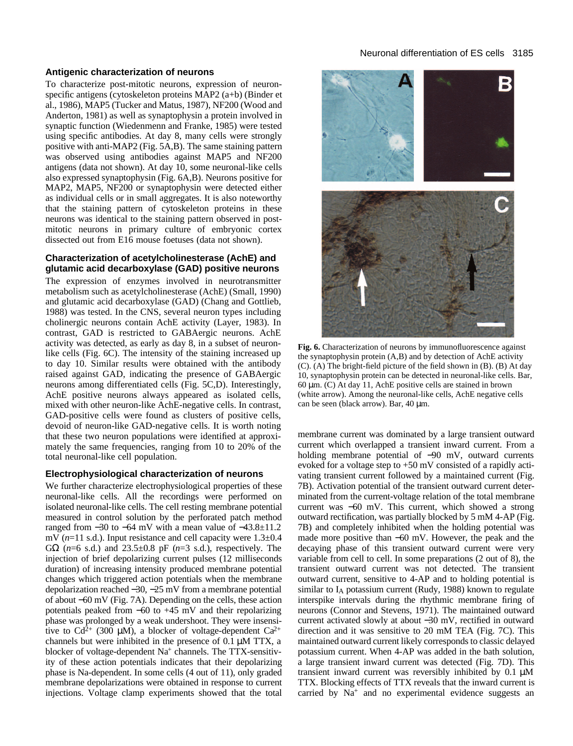#### **Antigenic characterization of neurons**

To characterize post-mitotic neurons, expression of neuronspecific antigens (cytoskeleton proteins MAP2 (a+b) (Binder et al., 1986), MAP5 (Tucker and Matus, 1987), NF200 (Wood and Anderton, 1981) as well as synaptophysin a protein involved in synaptic function (Wiedenmenn and Franke, 1985) were tested using specific antibodies. At day 8, many cells were strongly positive with anti-MAP2 (Fig. 5A,B). The same staining pattern was observed using antibodies against MAP5 and NF200 antigens (data not shown). At day 10, some neuronal-like cells also expressed synaptophysin (Fig. 6A,B). Neurons positive for MAP2, MAP5, NF200 or synaptophysin were detected either as individual cells or in small aggregates. It is also noteworthy that the staining pattern of cytoskeleton proteins in these neurons was identical to the staining pattern observed in postmitotic neurons in primary culture of embryonic cortex dissected out from E16 mouse foetuses (data not shown).

## **Characterization of acetylcholinesterase (AchE) and glutamic acid decarboxylase (GAD) positive neurons**

The expression of enzymes involved in neurotransmitter metabolism such as acetylcholinesterase (AchE) (Small, 1990) and glutamic acid decarboxylase (GAD) (Chang and Gottlieb, 1988) was tested. In the CNS, several neuron types including cholinergic neurons contain AchE activity (Layer, 1983). In contrast, GAD is restricted to GABAergic neurons. AchE activity was detected, as early as day 8, in a subset of neuronlike cells (Fig. 6C). The intensity of the staining increased up to day 10. Similar results were obtained with the antibody raised against GAD, indicating the presence of GABAergic neurons among differentiated cells (Fig. 5C,D). Interestingly, AchE positive neurons always appeared as isolated cells, mixed with other neuron-like AchE-negative cells. In contrast, GAD-positive cells were found as clusters of positive cells, devoid of neuron-like GAD-negative cells. It is worth noting that these two neuron populations were identified at approximately the same frequencies, ranging from 10 to 20% of the total neuronal-like cell population.

## **Electrophysiological characterization of neurons**

We further characterize electrophysiological properties of these neuronal-like cells. All the recordings were performed on isolated neuronal-like cells. The cell resting membrane potential measured in control solution by the perforated patch method ranged from −30 to −64 mV with a mean value of −43.8±11.2 mV (*n*=11 s.d.). Input resistance and cell capacity were 1.3±0.4 GΩ (*n*=6 s.d.) and 23.5±0.8 pF (*n*=3 s.d.), respectively. The injection of brief depolarizing current pulses (12 milliseconds duration) of increasing intensity produced membrane potential changes which triggered action potentials when the membrane depolarization reached −30, −25 mV from a membrane potential of about −60 mV (Fig. 7A). Depending on the cells, these action potentials peaked from −60 to +45 mV and their repolarizing phase was prolonged by a weak undershoot. They were insensitive to  $Cd^{2+}$  (300 µM), a blocker of voltage-dependent  $Ca^{2+}$ channels but were inhibited in the presence of 0.1 µM TTX, a blocker of voltage-dependent Na<sup>+</sup> channels. The TTX-sensitivity of these action potentials indicates that their depolarizing phase is Na-dependent. In some cells (4 out of 11), only graded membrane depolarizations were obtained in response to current injections. Voltage clamp experiments showed that the total



**Fig. 6.** Characterization of neurons by immunofluorescence against the synaptophysin protein (A,B) and by detection of AchE activity (C). (A) The bright-field picture of the field shown in (B). (B) At day 10, synaptophysin protein can be detected in neuronal-like cells. Bar,  $60 \mu$ m. (C) At day 11, AchE positive cells are stained in brown (white arrow). Among the neuronal-like cells, AchE negative cells can be seen (black arrow). Bar, 40 µm.

membrane current was dominated by a large transient outward current which overlapped a transient inward current. From a holding membrane potential of −90 mV, outward currents evoked for a voltage step to +50 mV consisted of a rapidly activating transient current followed by a maintained current (Fig. 7B). Activation potential of the transient outward current determinated from the current-voltage relation of the total membrane current was −60 mV. This current, which showed a strong outward rectification, was partially blocked by 5 mM 4-AP (Fig. 7B) and completely inhibited when the holding potential was made more positive than −60 mV. However, the peak and the decaying phase of this transient outward current were very variable from cell to cell. In some preparations (2 out of 8), the transient outward current was not detected. The transient outward current, sensitive to 4-AP and to holding potential is similar to I<sub>A</sub> potassium current (Rudy, 1988) known to regulate interspike intervals during the rhythmic membrane firing of neurons (Connor and Stevens, 1971). The maintained outward current activated slowly at about −30 mV, rectified in outward direction and it was sensitive to 20 mM TEA (Fig. 7C). This maintained outward current likely corresponds to classic delayed potassium current. When 4-AP was added in the bath solution, a large transient inward current was detected (Fig. 7D). This transient inward current was reversibly inhibited by 0.1 µM TTX. Blocking effects of TTX reveals that the inward current is carried by  $Na<sup>+</sup>$  and no experimental evidence suggests an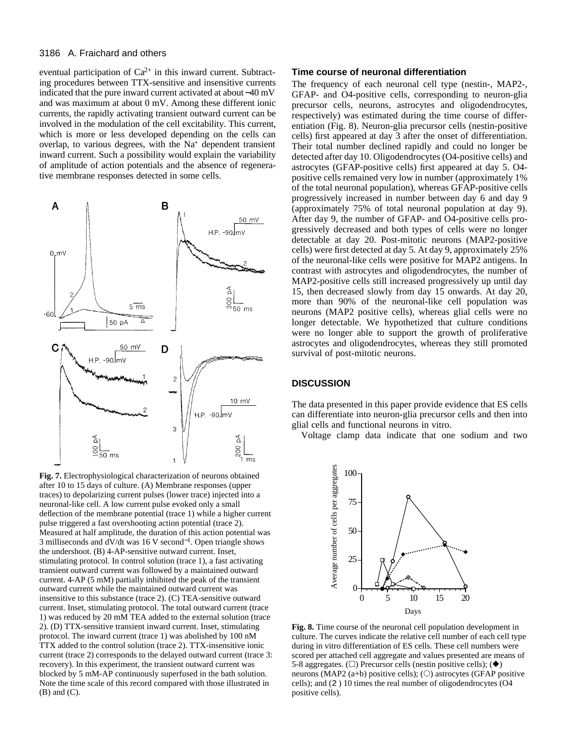#### 3186 A. Fraichard and others

eventual participation of  $Ca^{2+}$  in this inward current. Subtracting procedures between TTX-sensitive and insensitive currents indicated that the pure inward current activated at about −40 mV and was maximum at about 0 mV. Among these different ionic currents, the rapidly activating transient outward current can be involved in the modulation of the cell excitability. This current, which is more or less developed depending on the cells can overlap, to various degrees, with the  $Na<sup>+</sup>$  dependent transient inward current. Such a possibility would explain the variability of amplitude of action potentials and the absence of regenerative membrane responses detected in some cells.



after 10 to 15 days of culture. (A) Membrane responses (upper traces) to depolarizing current pulses (lower trace) injected into a neuronal-like cell. A low current pulse evoked only a small deflection of the membrane potential (trace 1) while a higher current pulse triggered a fast overshooting action potential (trace 2). Measured at half amplitude, the duration of this action potential was 3 milliseconds and dV/dt was 16 V second<sup>-1</sup>. Open triangle shows the undershoot. (B) 4-AP-sensitive outward current. Inset, stimulating protocol. In control solution (trace 1), a fast activating transient outward current was followed by a maintained outward current. 4-AP (5 mM) partially inhibited the peak of the transient outward current while the maintained outward current was insensitive to this substance (trace 2). (C) TEA-sensitive outward current. Inset, stimulating protocol. The total outward current (trace 1) was reduced by 20 mM TEA added to the external solution (trace 2). (D) TTX-sensitive transient inward current. Inset, stimulating protocol. The inward current (trace 1) was abolished by 100 nM TTX added to the control solution (trace 2). TTX-insensitive ionic current (trace 2) corresponds to the delayed outward current (trace 3: recovery). In this experiment, the transient outward current was blocked by 5 mM-AP continuously superfused in the bath solution. Note the time scale of this record compared with those illustrated in (B) and (C).

## **Time course of neuronal differentiation**

The frequency of each neuronal cell type (nestin-, MAP2-, GFAP- and O4-positive cells, corresponding to neuron-glia precursor cells, neurons, astrocytes and oligodendrocytes, respectively) was estimated during the time course of differentiation (Fig. 8). Neuron-glia precursor cells (nestin-positive cells) first appeared at day 3 after the onset of differentiation. Their total number declined rapidly and could no longer be detected after day 10. Oligodendrocytes (O4-positive cells) and astrocytes (GFAP-positive cells) first appeared at day 5. O4 positive cells remained very low in number (approximately 1% of the total neuronal population), whereas GFAP-positive cells progressively increased in number between day 6 and day 9 (approximately 75% of total neuronal population at day 9). After day 9, the number of GFAP- and O4-positive cells progressively decreased and both types of cells were no longer detectable at day 20. Post-mitotic neurons (MAP2-positive cells) were first detected at day 5. At day 9, approximately 25% of the neuronal-like cells were positive for MAP2 antigens. In contrast with astrocytes and oligodendrocytes, the number of MAP2-positive cells still increased progressively up until day 15, then decreased slowly from day 15 onwards. At day 20, more than 90% of the neuronal-like cell population was neurons (MAP2 positive cells), whereas glial cells were no longer detectable. We hypothetized that culture conditions were no longer able to support the growth of proliferative astrocytes and oligodendrocytes, whereas they still promoted survival of post-mitotic neurons.

## **DISCUSSION**

The data presented in this paper provide evidence that ES cells can differentiate into neuron-glia precursor cells and then into glial cells and functional neurons in vitro.

Voltage clamp data indicate that one sodium and two



 $\frac{1}{2}$  positive cells). **Fig. 8.** Time course of the neuronal cell population development in culture. The curves indicate the relative cell number of each cell type during in vitro differentiation of ES cells. These cell numbers were scored per attached cell aggregate and values presented are means of 5-8 aggregates. ( $\square$ ) Precursor cells (nestin positive cells); ( $\blacklozenge$ ) neurons (MAP2 (a+b) positive cells); ( $\circ$ ) astrocytes (GFAP positive cells); and (2 ) 10 times the real number of oligodendrocytes (O4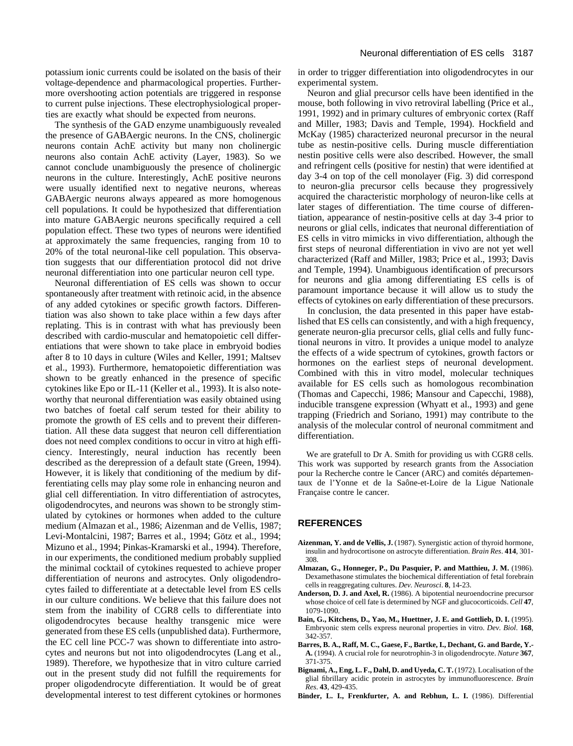potassium ionic currents could be isolated on the basis of their voltage-dependence and pharmacological properties. Furthermore overshooting action potentials are triggered in response to current pulse injections. These electrophysiological properties are exactly what should be expected from neurons.

The synthesis of the GAD enzyme unambiguously revealed the presence of GABAergic neurons. In the CNS, cholinergic neurons contain AchE activity but many non cholinergic neurons also contain AchE activity (Layer, 1983). So we cannot conclude unambiguously the presence of cholinergic neurons in the culture. Interestingly, AchE positive neurons were usually identified next to negative neurons, whereas GABAergic neurons always appeared as more homogenous cell populations. It could be hypothesized that differentiation into mature GABAergic neurons specifically required a cell population effect. These two types of neurons were identified at approximately the same frequencies, ranging from 10 to 20% of the total neuronal-like cell population. This observation suggests that our differentiation protocol did not drive neuronal differentiation into one particular neuron cell type.

Neuronal differentiation of ES cells was shown to occur spontaneously after treatment with retinoic acid, in the absence of any added cytokines or specific growth factors. Differentiation was also shown to take place within a few days after replating. This is in contrast with what has previously been described with cardio-muscular and hematopoietic cell differentiations that were shown to take place in embryoid bodies after 8 to 10 days in culture (Wiles and Keller, 1991; Maltsev et al., 1993). Furthermore, hematopoietic differentiation was shown to be greatly enhanced in the presence of specific cytokines like Epo or IL-11 (Keller et al., 1993). It is also noteworthy that neuronal differentiation was easily obtained using two batches of foetal calf serum tested for their ability to promote the growth of ES cells and to prevent their differentiation. All these data suggest that neuron cell differentiation does not need complex conditions to occur in vitro at high efficiency. Interestingly, neural induction has recently been described as the derepression of a default state (Green, 1994). However, it is likely that conditioning of the medium by differentiating cells may play some role in enhancing neuron and glial cell differentiation. In vitro differentiation of astrocytes, oligodendrocytes, and neurons was shown to be strongly stimulated by cytokines or hormones when added to the culture medium (Almazan et al., 1986; Aizenman and de Vellis, 1987; Levi-Montalcini, 1987; Barres et al., 1994; Götz et al., 1994; Mizuno et al., 1994; Pinkas-Kramarski et al., 1994). Therefore, in our experiments, the conditioned medium probably supplied the minimal cocktail of cytokines requested to achieve proper differentiation of neurons and astrocytes. Only oligodendrocytes failed to differentiate at a detectable level from ES cells in our culture conditions. We believe that this failure does not stem from the inability of CGR8 cells to differentiate into oligodendrocytes because healthy transgenic mice were generated from these ES cells (unpublished data). Furthermore, the EC cell line PCC-7 was shown to differentiate into astrocytes and neurons but not into oligodendrocytes (Lang et al., 1989). Therefore, we hypothesize that in vitro culture carried out in the present study did not fulfill the requirements for proper oligodendrocyte differentiation. It would be of great developmental interest to test different cytokines or hormones

in order to trigger differentiation into oligodendrocytes in our experimental system.

Neuron and glial precursor cells have been identified in the mouse, both following in vivo retroviral labelling (Price et al., 1991, 1992) and in primary cultures of embryonic cortex (Raff and Miller, 1983; Davis and Temple, 1994). Hockfield and McKay (1985) characterized neuronal precursor in the neural tube as nestin-positive cells. During muscle differentiation nestin positive cells were also described. However, the small and refringent cells (positive for nestin) that were identified at day 3-4 on top of the cell monolayer (Fig. 3) did correspond to neuron-glia precursor cells because they progressively acquired the characteristic morphology of neuron-like cells at later stages of differentiation. The time course of differentiation, appearance of nestin-positive cells at day 3-4 prior to neurons or glial cells, indicates that neuronal differentiation of ES cells in vitro mimicks in vivo differentiation, although the first steps of neuronal differentiation in vivo are not yet well characterized (Raff and Miller, 1983; Price et al., 1993; Davis and Temple, 1994). Unambiguous identification of precursors for neurons and glia among differentiating ES cells is of paramount importance because it will allow us to study the effects of cytokines on early differentiation of these precursors.

In conclusion, the data presented in this paper have established that ES cells can consistently, and with a high frequency, generate neuron-glia precursor cells, glial cells and fully functional neurons in vitro. It provides a unique model to analyze the effects of a wide spectrum of cytokines, growth factors or hormones on the earliest steps of neuronal development. Combined with this in vitro model, molecular techniques available for ES cells such as homologous recombination (Thomas and Capecchi, 1986; Mansour and Capecchi, 1988), inducible transgene expression (Whyatt et al., 1993) and gene trapping (Friedrich and Soriano, 1991) may contribute to the analysis of the molecular control of neuronal commitment and differentiation.

We are gratefull to Dr A. Smith for providing us with CGR8 cells. This work was supported by research grants from the Association pour la Recherche contre le Cancer (ARC) and comités départementaux de l'Yonne et de la Saône-et-Loire de la Ligue Nationale Française contre le cancer.

#### **REFERENCES**

- **Aizenman, Y. and de Vellis, J.** (1987). Synergistic action of thyroid hormone, insulin and hydrocortisone on astrocyte differentiation. *Brain Res*. **414**, 301- 308.
- **Almazan, G., Honneger, P., Du Pasquier, P. and Matthieu, J. M.** (1986). Dexamethasone stimulates the biochemical differentiation of fetal forebrain cells in reaggregating cultures. *Dev. Neurosci*. **8**, 14-23.
- **Anderson, D. J. and Axel, R.** (1986). A bipotential neuroendocrine precursor whose choice of cell fate is determined by NGF and glucocorticoids. *Cell* **47**, 1079-1090.
- **Bain, G., Kitchens, D., Yao, M., Huettner, J. E. and Gottlieb, D. I.** (1995). Embryonic stem cells express neuronal properties in vitro. *Dev. Biol*. **168**, 342-357.
- **Barres, B. A., Raff, M. C., Gaese, F., Bartke, I., Dechant, G. and Barde, Y.- A.** (1994). A crucial role for neurotrophin-3 in oligodendrocyte. *Nature* **367**, 371-375.
- **Bignami, A., Eng, L. F., Dahl, D. and Uyeda, C. T.** (1972). Localisation of the glial fibrillary acidic protein in astrocytes by immunofluorescence. *Brain Res*. **43**, 429-435.
- Binder, L. I., Frenkfurter, A. and Rebhun, L. I. (1986). Differential